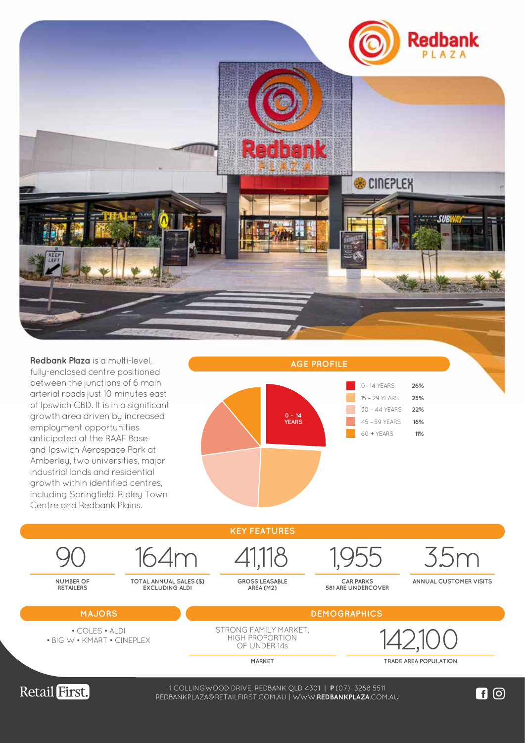

**Redbank Plaza** is a multi-level, fully-enclosed centre positioned between the junctions of 6 main arterial roads just 10 minutes east of Ipswich CBD. It is in a significant growth area driven by increased employment opportunities anticipated at the RAAF Base and Ipswich Aerospace Park at Amberley, two universities, major industrial lands and residential growth within identified centres, including Springfield, Ripley Town Centre and Redbank Plains.







1 COLLINGWOOD DRIVE, REDBANK QLD 4301 | **P** (07) 3288 5511 WWW.**LOGANCENTRALPLAZA**.COM.AU REDBANKPLAZA@RETAILFIRST.COM.AU | WWW.**REDBANKPLAZA**.COM.AU